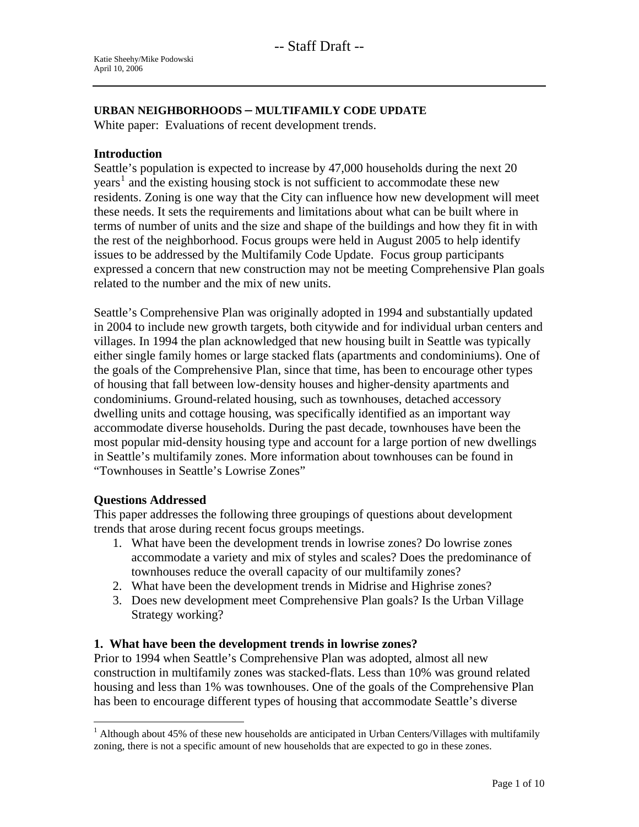### **URBAN NEIGHBORHOODS – MULTIFAMILY CODE UPDATE**

White paper: Evaluations of recent development trends.

#### **Introduction**

Seattle's population is expected to increase by 47,000 households during the next 20 years<sup>[1](#page-0-0)</sup> and the existing housing stock is not sufficient to accommodate these new residents. Zoning is one way that the City can influence how new development will meet these needs. It sets the requirements and limitations about what can be built where in terms of number of units and the size and shape of the buildings and how they fit in with the rest of the neighborhood. Focus groups were held in August 2005 to help identify issues to be addressed by the Multifamily Code Update. Focus group participants expressed a concern that new construction may not be meeting Comprehensive Plan goals related to the number and the mix of new units.

Seattle's Comprehensive Plan was originally adopted in 1994 and substantially updated in 2004 to include new growth targets, both citywide and for individual urban centers and villages. In 1994 the plan acknowledged that new housing built in Seattle was typically either single family homes or large stacked flats (apartments and condominiums). One of the goals of the Comprehensive Plan, since that time, has been to encourage other types of housing that fall between low-density houses and higher-density apartments and condominiums. Ground-related housing, such as townhouses, detached accessory dwelling units and cottage housing, was specifically identified as an important way accommodate diverse households. During the past decade, townhouses have been the most popular mid-density housing type and account for a large portion of new dwellings in Seattle's multifamily zones. More information about townhouses can be found in "Townhouses in Seattle's Lowrise Zones"

#### **Questions Addressed**

 $\overline{a}$ 

This paper addresses the following three groupings of questions about development trends that arose during recent focus groups meetings.

- 1. What have been the development trends in lowrise zones? Do lowrise zones accommodate a variety and mix of styles and scales? Does the predominance of townhouses reduce the overall capacity of our multifamily zones?
- 2. What have been the development trends in Midrise and Highrise zones?
- 3. Does new development meet Comprehensive Plan goals? Is the Urban Village Strategy working?

# **1. What have been the development trends in lowrise zones?**

Prior to 1994 when Seattle's Comprehensive Plan was adopted, almost all new construction in multifamily zones was stacked-flats. Less than 10% was ground related housing and less than 1% was townhouses. One of the goals of the Comprehensive Plan has been to encourage different types of housing that accommodate Seattle's diverse

<span id="page-0-0"></span><sup>&</sup>lt;sup>1</sup> Although about 45% of these new households are anticipated in Urban Centers/Villages with multifamily zoning, there is not a specific amount of new households that are expected to go in these zones.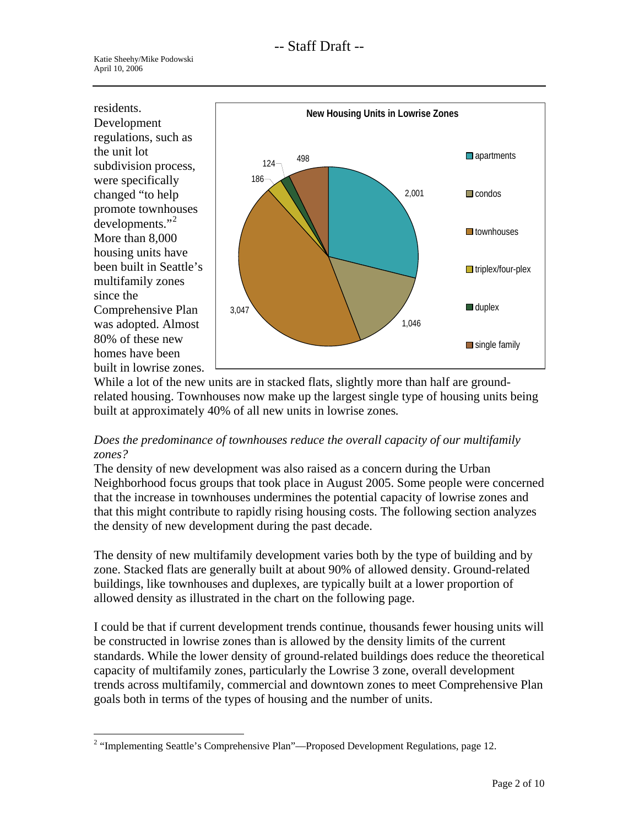residents. Development regulations, such as the unit lot subdivision process, were specifically changed "to help promote townhouses developments."<sup>[2](#page-1-0)</sup> More than 8,000 housing units have been built in Seattle's multifamily zones since the Comprehensive Plan was adopted. Almost 80% of these new homes have been built in lowrise zones.



While a lot of the new units are in stacked flats, slightly more than half are groundrelated housing. Townhouses now make up the largest single type of housing units being built at approximately 40% of all new units in lowrise zones*.* 

# *Does the predominance of townhouses reduce the overall capacity of our multifamily zones?*

The density of new development was also raised as a concern during the Urban Neighborhood focus groups that took place in August 2005. Some people were concerned that the increase in townhouses undermines the potential capacity of lowrise zones and that this might contribute to rapidly rising housing costs. The following section analyzes the density of new development during the past decade.

The density of new multifamily development varies both by the type of building and by zone. Stacked flats are generally built at about 90% of allowed density. Ground-related buildings, like townhouses and duplexes, are typically built at a lower proportion of allowed density as illustrated in the chart on the following page.

I could be that if current development trends continue, thousands fewer housing units will be constructed in lowrise zones than is allowed by the density limits of the current standards. While the lower density of ground-related buildings does reduce the theoretical capacity of multifamily zones, particularly the Lowrise 3 zone, overall development trends across multifamily, commercial and downtown zones to meet Comprehensive Plan goals both in terms of the types of housing and the number of units.

<span id="page-1-0"></span> $\overline{a}$ <sup>2</sup> "Implementing Seattle's Comprehensive Plan"—Proposed Development Regulations, page 12.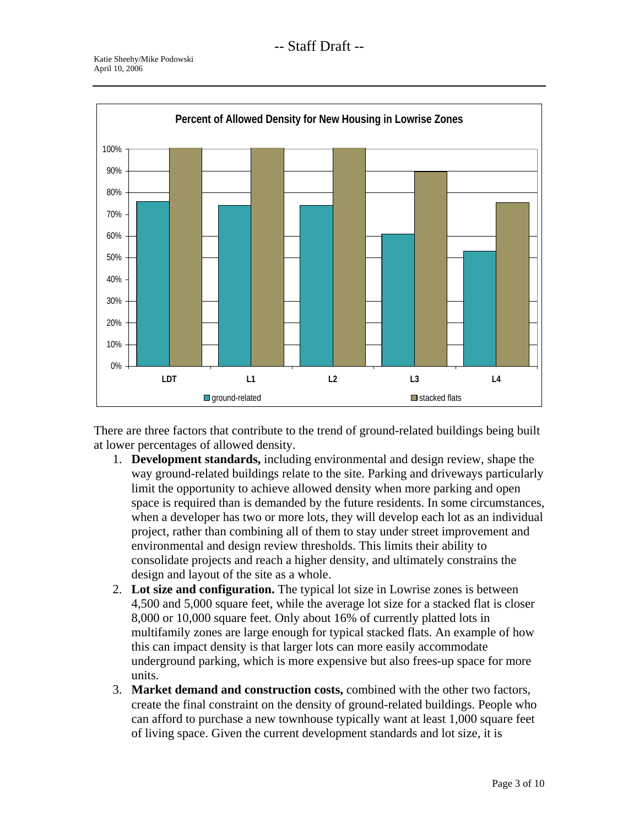

There are three factors that contribute to the trend of ground-related buildings being built at lower percentages of allowed density.

- 1. **Development standards,** including environmental and design review, shape the way ground-related buildings relate to the site. Parking and driveways particularly limit the opportunity to achieve allowed density when more parking and open space is required than is demanded by the future residents. In some circumstances, when a developer has two or more lots, they will develop each lot as an individual project, rather than combining all of them to stay under street improvement and environmental and design review thresholds. This limits their ability to consolidate projects and reach a higher density, and ultimately constrains the design and layout of the site as a whole.
- 2. **Lot size and configuration.** The typical lot size in Lowrise zones is between 4,500 and 5,000 square feet, while the average lot size for a stacked flat is closer 8,000 or 10,000 square feet. Only about 16% of currently platted lots in multifamily zones are large enough for typical stacked flats. An example of how this can impact density is that larger lots can more easily accommodate underground parking, which is more expensive but also frees-up space for more units.
- 3. **Market demand and construction costs,** combined with the other two factors, create the final constraint on the density of ground-related buildings. People who can afford to purchase a new townhouse typically want at least 1,000 square feet of living space. Given the current development standards and lot size, it is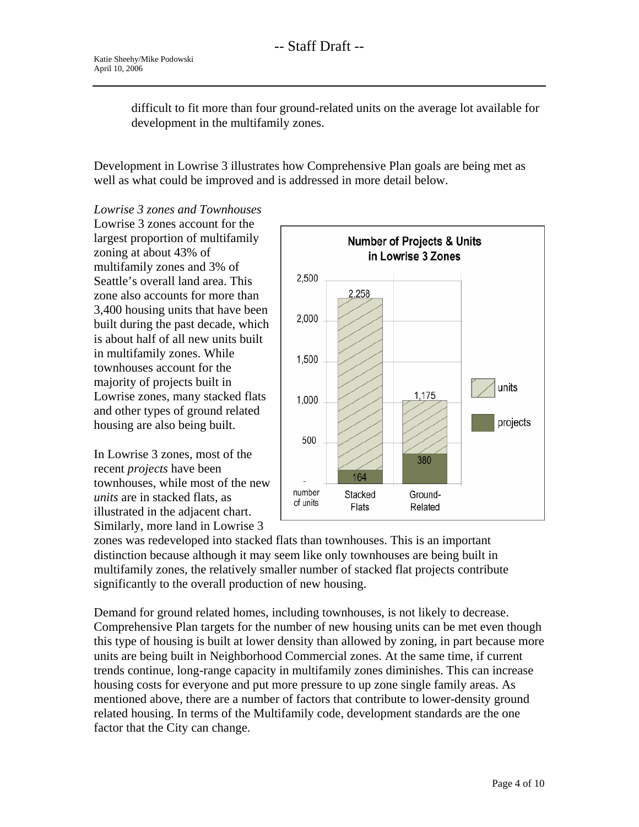difficult to fit more than four ground-related units on the average lot available for development in the multifamily zones.

Development in Lowrise 3 illustrates how Comprehensive Plan goals are being met as well as what could be improved and is addressed in more detail below.

*Lowrise 3 zones and Townhouses*  Lowrise 3 zones account for the largest proportion of multifamily zoning at about 43% of multifamily zones and 3% of Seattle's overall land area. This zone also accounts for more than 3,400 housing units that have been built during the past decade, which is about half of all new units built in multifamily zones. While townhouses account for the majority of projects built in Lowrise zones, many stacked flats and other types of ground related housing are also being built.

In Lowrise 3 zones, most of the recent *projects* have been townhouses, while most of the new *units* are in stacked flats, as illustrated in the adjacent chart. Similarly, more land in Lowrise 3



zones was redeveloped into stacked flats than townhouses. This is an important distinction because although it may seem like only townhouses are being built in multifamily zones, the relatively smaller number of stacked flat projects contribute significantly to the overall production of new housing.

Demand for ground related homes, including townhouses, is not likely to decrease. Comprehensive Plan targets for the number of new housing units can be met even though this type of housing is built at lower density than allowed by zoning, in part because more units are being built in Neighborhood Commercial zones. At the same time, if current trends continue, long-range capacity in multifamily zones diminishes. This can increase housing costs for everyone and put more pressure to up zone single family areas. As mentioned above, there are a number of factors that contribute to lower-density ground related housing. In terms of the Multifamily code, development standards are the one factor that the City can change.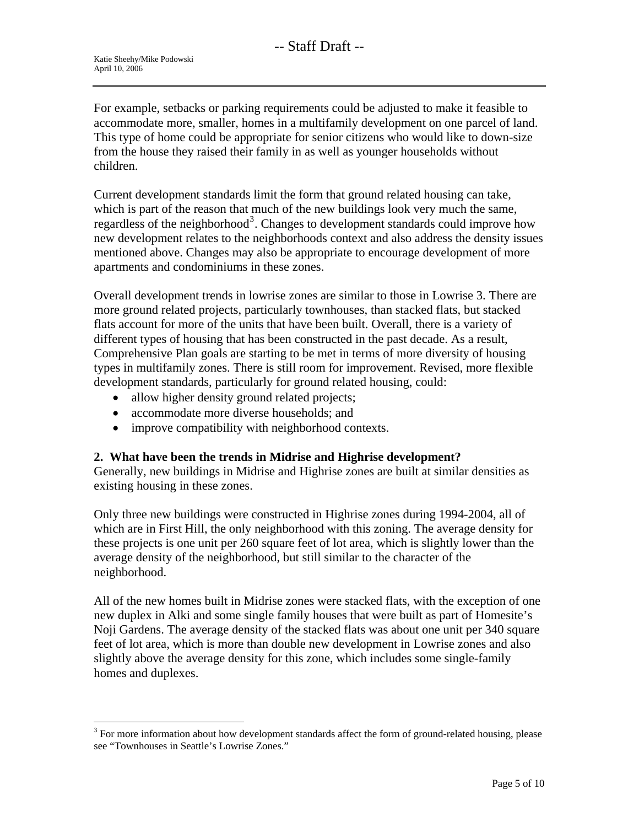For example, setbacks or parking requirements could be adjusted to make it feasible to accommodate more, smaller, homes in a multifamily development on one parcel of land. This type of home could be appropriate for senior citizens who would like to down-size from the house they raised their family in as well as younger households without children.

Current development standards limit the form that ground related housing can take, which is part of the reason that much of the new buildings look very much the same, regardless of the neighborhood<sup>[3](#page-4-0)</sup>. Changes to development standards could improve how new development relates to the neighborhoods context and also address the density issues mentioned above. Changes may also be appropriate to encourage development of more apartments and condominiums in these zones.

Overall development trends in lowrise zones are similar to those in Lowrise 3. There are more ground related projects, particularly townhouses, than stacked flats, but stacked flats account for more of the units that have been built. Overall, there is a variety of different types of housing that has been constructed in the past decade. As a result, Comprehensive Plan goals are starting to be met in terms of more diversity of housing types in multifamily zones. There is still room for improvement. Revised, more flexible development standards, particularly for ground related housing, could:

- allow higher density ground related projects;
- accommodate more diverse households; and
- improve compatibility with neighborhood contexts.

# **2. What have been the trends in Midrise and Highrise development?**

Generally, new buildings in Midrise and Highrise zones are built at similar densities as existing housing in these zones.

Only three new buildings were constructed in Highrise zones during 1994-2004, all of which are in First Hill, the only neighborhood with this zoning. The average density for these projects is one unit per 260 square feet of lot area, which is slightly lower than the average density of the neighborhood, but still similar to the character of the neighborhood.

All of the new homes built in Midrise zones were stacked flats, with the exception of one new duplex in Alki and some single family houses that were built as part of Homesite's Noji Gardens. The average density of the stacked flats was about one unit per 340 square feet of lot area, which is more than double new development in Lowrise zones and also slightly above the average density for this zone, which includes some single-family homes and duplexes.

<span id="page-4-0"></span><sup>&</sup>lt;sup>3</sup> For more information about how development standards affect the form of ground-related housing, please see "Townhouses in Seattle's Lowrise Zones."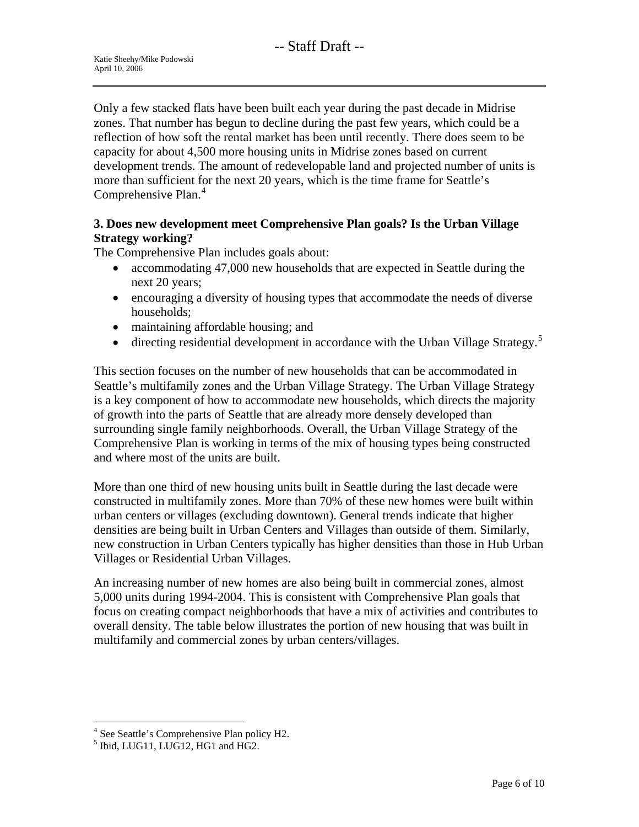Only a few stacked flats have been built each year during the past decade in Midrise zones. That number has begun to decline during the past few years, which could be a reflection of how soft the rental market has been until recently. There does seem to be capacity for about 4,500 more housing units in Midrise zones based on current development trends. The amount of redevelopable land and projected number of units is more than sufficient for the next 20 years, which is the time frame for Seattle's Comprehensive Plan.<sup>[4](#page-5-0)</sup>

# **3. Does new development meet Comprehensive Plan goals? Is the Urban Village Strategy working?**

The Comprehensive Plan includes goals about:

- accommodating 47,000 new households that are expected in Seattle during the next 20 years;
- encouraging a diversity of housing types that accommodate the needs of diverse households;
- maintaining affordable housing; and
- directing residential development in accordance with the Urban Village Strategy.<sup>[5](#page-5-1)</sup>

This section focuses on the number of new households that can be accommodated in Seattle's multifamily zones and the Urban Village Strategy. The Urban Village Strategy is a key component of how to accommodate new households, which directs the majority of growth into the parts of Seattle that are already more densely developed than surrounding single family neighborhoods. Overall, the Urban Village Strategy of the Comprehensive Plan is working in terms of the mix of housing types being constructed and where most of the units are built.

More than one third of new housing units built in Seattle during the last decade were constructed in multifamily zones. More than 70% of these new homes were built within urban centers or villages (excluding downtown). General trends indicate that higher densities are being built in Urban Centers and Villages than outside of them. Similarly, new construction in Urban Centers typically has higher densities than those in Hub Urban Villages or Residential Urban Villages.

An increasing number of new homes are also being built in commercial zones, almost 5,000 units during 1994-2004. This is consistent with Comprehensive Plan goals that focus on creating compact neighborhoods that have a mix of activities and contributes to overall density. The table below illustrates the portion of new housing that was built in multifamily and commercial zones by urban centers/villages.

 $\overline{a}$ 

<span id="page-5-0"></span><sup>&</sup>lt;sup>4</sup> See Seattle's Comprehensive Plan policy H2.

<span id="page-5-1"></span><sup>&</sup>lt;sup>5</sup> Ibid, LUG11, LUG12, HG1 and HG2.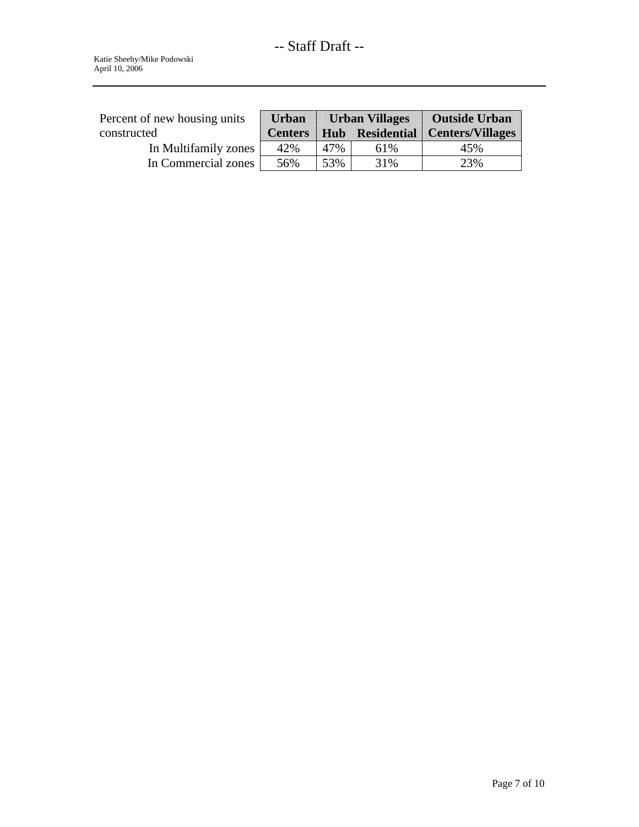| Percent of new housing units | <b>Urban</b>   | <b>Urban Villages</b> |      | <b>Outside Urban</b>               |
|------------------------------|----------------|-----------------------|------|------------------------------------|
| constructed                  | <b>Centers</b> |                       |      | Hub Residential   Centers/Villages |
| In Multifamily zones         | 42%            | 47%                   | 61\% | 45%                                |
| In Commercial zones          | 56%            | 53%                   | 31%  | 23%                                |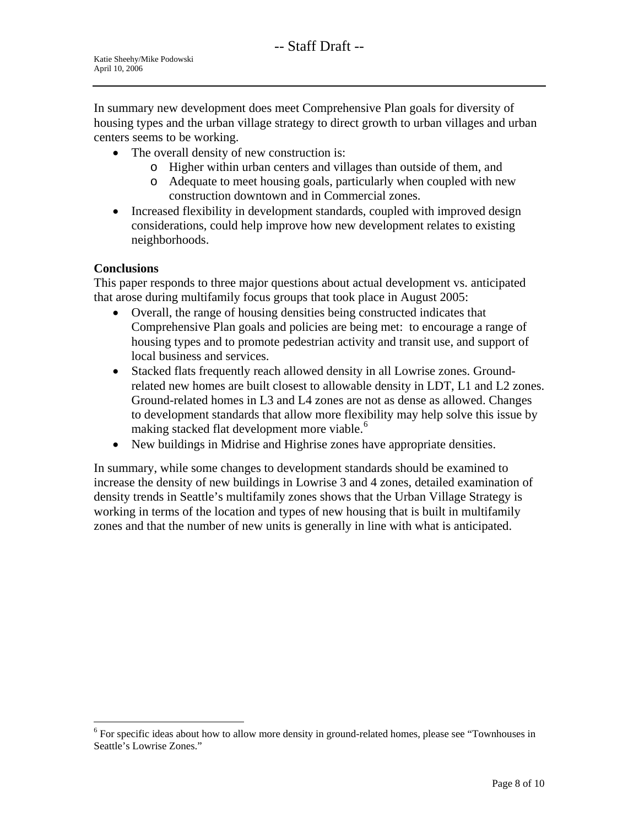In summary new development does meet Comprehensive Plan goals for diversity of housing types and the urban village strategy to direct growth to urban villages and urban centers seems to be working.

- The overall density of new construction is:
	- o Higher within urban centers and villages than outside of them, and
	- o Adequate to meet housing goals, particularly when coupled with new construction downtown and in Commercial zones.
- Increased flexibility in development standards, coupled with improved design considerations, could help improve how new development relates to existing neighborhoods.

#### **Conclusions**

 $\overline{a}$ 

This paper responds to three major questions about actual development vs. anticipated that arose during multifamily focus groups that took place in August 2005:

- Overall, the range of housing densities being constructed indicates that Comprehensive Plan goals and policies are being met: to encourage a range of housing types and to promote pedestrian activity and transit use, and support of local business and services.
- Stacked flats frequently reach allowed density in all Lowrise zones. Groundrelated new homes are built closest to allowable density in LDT, L1 and L2 zones. Ground-related homes in L3 and L4 zones are not as dense as allowed. Changes to development standards that allow more flexibility may help solve this issue by making stacked flat development more viable.<sup>[6](#page-7-0)</sup>
- New buildings in Midrise and Highrise zones have appropriate densities.

In summary, while some changes to development standards should be examined to increase the density of new buildings in Lowrise 3 and 4 zones, detailed examination of density trends in Seattle's multifamily zones shows that the Urban Village Strategy is working in terms of the location and types of new housing that is built in multifamily zones and that the number of new units is generally in line with what is anticipated.

<span id="page-7-0"></span><sup>&</sup>lt;sup>6</sup> For specific ideas about how to allow more density in ground-related homes, please see "Townhouses in Seattle's Lowrise Zones."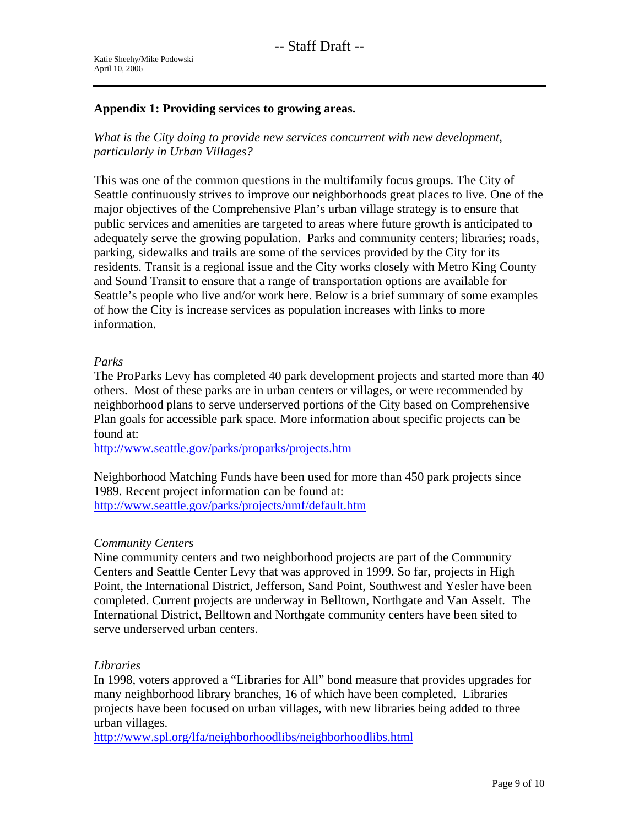### **Appendix 1: Providing services to growing areas.**

*What is the City doing to provide new services concurrent with new development, particularly in Urban Villages?* 

This was one of the common questions in the multifamily focus groups. The City of Seattle continuously strives to improve our neighborhoods great places to live. One of the major objectives of the Comprehensive Plan's urban village strategy is to ensure that public services and amenities are targeted to areas where future growth is anticipated to adequately serve the growing population. Parks and community centers; libraries; roads, parking, sidewalks and trails are some of the services provided by the City for its residents. Transit is a regional issue and the City works closely with Metro King County and Sound Transit to ensure that a range of transportation options are available for Seattle's people who live and/or work here. Below is a brief summary of some examples of how the City is increase services as population increases with links to more information.

## *Parks*

The ProParks Levy has completed 40 park development projects and started more than 40 others. Most of these parks are in urban centers or villages, or were recommended by neighborhood plans to serve underserved portions of the City based on Comprehensive Plan goals for accessible park space. More information about specific projects can be found at:

<http://www.seattle.gov/parks/proparks/projects.htm>

Neighborhood Matching Funds have been used for more than 450 park projects since 1989. Recent project information can be found at: <http://www.seattle.gov/parks/projects/nmf/default.htm>

#### *Community Centers*

Nine community centers and two neighborhood projects are part of the Community Centers and Seattle Center Levy that was approved in 1999. So far, projects in High Point, the International District, Jefferson, Sand Point, Southwest and Yesler have been completed. Current projects are underway in Belltown, Northgate and Van Asselt. The International District, Belltown and Northgate community centers have been sited to serve underserved urban centers.

#### *Libraries*

In 1998, voters approved a "Libraries for All" bond measure that provides upgrades for many neighborhood library branches, 16 of which have been completed. Libraries projects have been focused on urban villages, with new libraries being added to three urban villages.

<http://www.spl.org/lfa/neighborhoodlibs/neighborhoodlibs.html>